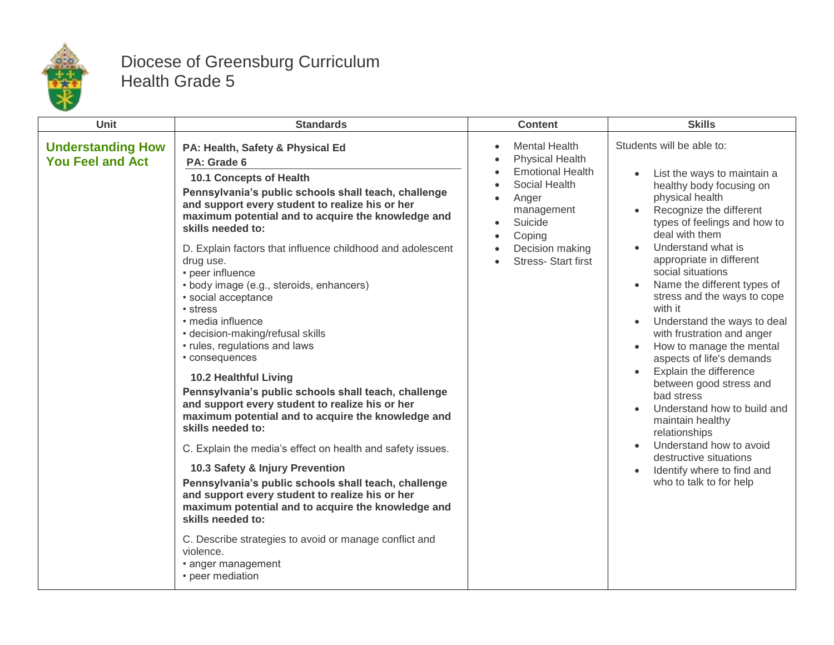

## Diocese of Greensburg Curriculum Health Grade 5

| <b>Unit</b>                                         | <b>Standards</b>                                                                                                                                                                                                                                                                                                                                                                                                                                                                                                                                                                                                                                                                                                                                                                                                                                                                                                                                                                                                                                                                                                                                                                         | <b>Content</b>                                                                                                                                                                         | <b>Skills</b>                                                                                                                                                                                                                                                                                                                                                                                                                                                                                                                                                                                                                                                                                                   |
|-----------------------------------------------------|------------------------------------------------------------------------------------------------------------------------------------------------------------------------------------------------------------------------------------------------------------------------------------------------------------------------------------------------------------------------------------------------------------------------------------------------------------------------------------------------------------------------------------------------------------------------------------------------------------------------------------------------------------------------------------------------------------------------------------------------------------------------------------------------------------------------------------------------------------------------------------------------------------------------------------------------------------------------------------------------------------------------------------------------------------------------------------------------------------------------------------------------------------------------------------------|----------------------------------------------------------------------------------------------------------------------------------------------------------------------------------------|-----------------------------------------------------------------------------------------------------------------------------------------------------------------------------------------------------------------------------------------------------------------------------------------------------------------------------------------------------------------------------------------------------------------------------------------------------------------------------------------------------------------------------------------------------------------------------------------------------------------------------------------------------------------------------------------------------------------|
| <b>Understanding How</b><br><b>You Feel and Act</b> | PA: Health, Safety & Physical Ed<br>PA: Grade 6<br>10.1 Concepts of Health<br>Pennsylvania's public schools shall teach, challenge<br>and support every student to realize his or her<br>maximum potential and to acquire the knowledge and<br>skills needed to:<br>D. Explain factors that influence childhood and adolescent<br>drug use.<br>• peer influence<br>• body image (e.g., steroids, enhancers)<br>· social acceptance<br>• stress<br>· media influence<br>• decision-making/refusal skills<br>• rules, regulations and laws<br>• consequences<br><b>10.2 Healthful Living</b><br>Pennsylvania's public schools shall teach, challenge<br>and support every student to realize his or her<br>maximum potential and to acquire the knowledge and<br>skills needed to:<br>C. Explain the media's effect on health and safety issues.<br>10.3 Safety & Injury Prevention<br>Pennsylvania's public schools shall teach, challenge<br>and support every student to realize his or her<br>maximum potential and to acquire the knowledge and<br>skills needed to:<br>C. Describe strategies to avoid or manage conflict and<br>violence.<br>• anger management<br>• peer mediation | <b>Mental Health</b><br><b>Physical Health</b><br><b>Emotional Health</b><br>Social Health<br>Anger<br>management<br>Suicide<br>Coping<br>Decision making<br><b>Stress-Start first</b> | Students will be able to:<br>List the ways to maintain a<br>healthy body focusing on<br>physical health<br>Recognize the different<br>types of feelings and how to<br>deal with them<br>Understand what is<br>appropriate in different<br>social situations<br>Name the different types of<br>stress and the ways to cope<br>with it<br>Understand the ways to deal<br>with frustration and anger<br>How to manage the mental<br>aspects of life's demands<br>Explain the difference<br>between good stress and<br>bad stress<br>Understand how to build and<br>maintain healthy<br>relationships<br>Understand how to avoid<br>destructive situations<br>Identify where to find and<br>who to talk to for help |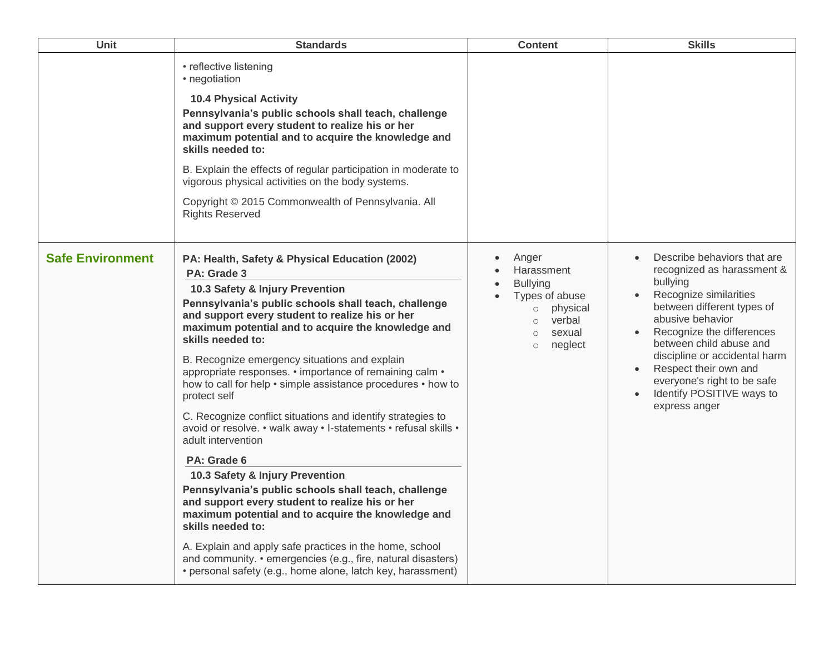| <b>Unit</b>             | <b>Standards</b>                                                                                                                                                                                                                                                                                                                                                                                                                                                                                                                                                                                                                                                                                                                                                                                                                                                                                                                                                                                                                                                             | <b>Content</b>                                                                                                                                               | <b>Skills</b>                                                                                                                                                                                                                                                                                                                                    |
|-------------------------|------------------------------------------------------------------------------------------------------------------------------------------------------------------------------------------------------------------------------------------------------------------------------------------------------------------------------------------------------------------------------------------------------------------------------------------------------------------------------------------------------------------------------------------------------------------------------------------------------------------------------------------------------------------------------------------------------------------------------------------------------------------------------------------------------------------------------------------------------------------------------------------------------------------------------------------------------------------------------------------------------------------------------------------------------------------------------|--------------------------------------------------------------------------------------------------------------------------------------------------------------|--------------------------------------------------------------------------------------------------------------------------------------------------------------------------------------------------------------------------------------------------------------------------------------------------------------------------------------------------|
|                         | • reflective listening<br>• negotiation<br><b>10.4 Physical Activity</b><br>Pennsylvania's public schools shall teach, challenge<br>and support every student to realize his or her<br>maximum potential and to acquire the knowledge and<br>skills needed to:<br>B. Explain the effects of regular participation in moderate to<br>vigorous physical activities on the body systems.<br>Copyright © 2015 Commonwealth of Pennsylvania. All<br><b>Rights Reserved</b>                                                                                                                                                                                                                                                                                                                                                                                                                                                                                                                                                                                                        |                                                                                                                                                              |                                                                                                                                                                                                                                                                                                                                                  |
| <b>Safe Environment</b> | PA: Health, Safety & Physical Education (2002)<br>PA: Grade 3<br>10.3 Safety & Injury Prevention<br>Pennsylvania's public schools shall teach, challenge<br>and support every student to realize his or her<br>maximum potential and to acquire the knowledge and<br>skills needed to:<br>B. Recognize emergency situations and explain<br>appropriate responses. • importance of remaining calm •<br>how to call for help • simple assistance procedures • how to<br>protect self<br>C. Recognize conflict situations and identify strategies to<br>avoid or resolve. • walk away • I-statements • refusal skills •<br>adult intervention<br>PA: Grade 6<br>10.3 Safety & Injury Prevention<br>Pennsylvania's public schools shall teach, challenge<br>and support every student to realize his or her<br>maximum potential and to acquire the knowledge and<br>skills needed to:<br>A. Explain and apply safe practices in the home, school<br>and community. • emergencies (e.g., fire, natural disasters)<br>• personal safety (e.g., home alone, latch key, harassment) | Anger<br>$\bullet$<br>Harassment<br><b>Bullying</b><br>Types of abuse<br>physical<br>$\circ$<br>verbal<br>$\circ$<br>sexual<br>$\circ$<br>neglect<br>$\circ$ | Describe behaviors that are<br>recognized as harassment &<br>bullying<br>Recognize similarities<br>between different types of<br>abusive behavior<br>Recognize the differences<br>between child abuse and<br>discipline or accidental harm<br>Respect their own and<br>everyone's right to be safe<br>Identify POSITIVE ways to<br>express anger |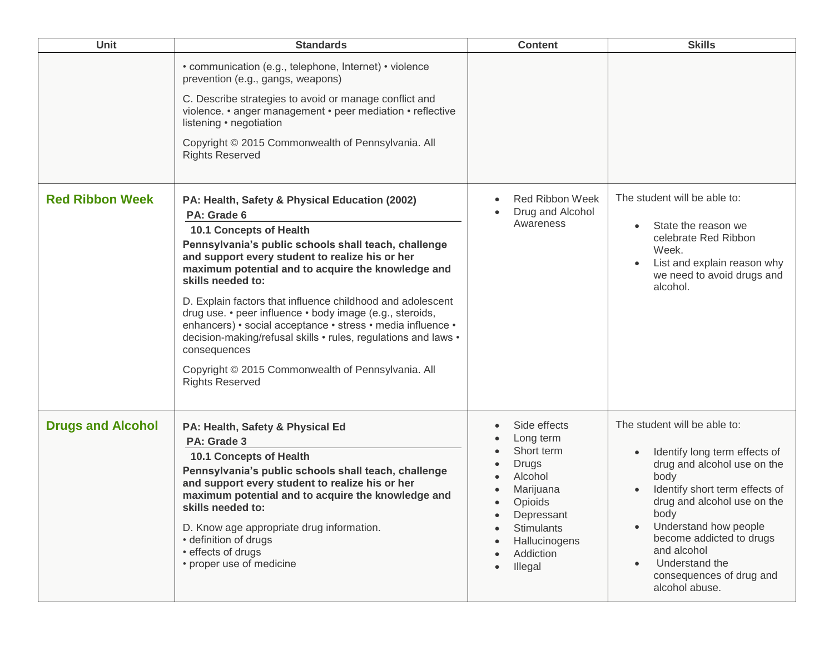| <b>Unit</b>              | <b>Standards</b>                                                                                                                                                                                                                                                                                                                                                                                                                                                                                                                                                                                                                                 | <b>Content</b>                                                                                                                                                         | <b>Skills</b>                                                                                                                                                                                                                                                                                                     |
|--------------------------|--------------------------------------------------------------------------------------------------------------------------------------------------------------------------------------------------------------------------------------------------------------------------------------------------------------------------------------------------------------------------------------------------------------------------------------------------------------------------------------------------------------------------------------------------------------------------------------------------------------------------------------------------|------------------------------------------------------------------------------------------------------------------------------------------------------------------------|-------------------------------------------------------------------------------------------------------------------------------------------------------------------------------------------------------------------------------------------------------------------------------------------------------------------|
|                          | • communication (e.g., telephone, Internet) • violence<br>prevention (e.g., gangs, weapons)<br>C. Describe strategies to avoid or manage conflict and<br>violence. • anger management • peer mediation • reflective<br>listening • negotiation<br>Copyright © 2015 Commonwealth of Pennsylvania. All<br><b>Rights Reserved</b>                                                                                                                                                                                                                                                                                                                   |                                                                                                                                                                        |                                                                                                                                                                                                                                                                                                                   |
| <b>Red Ribbon Week</b>   | PA: Health, Safety & Physical Education (2002)<br>PA: Grade 6<br><b>10.1 Concepts of Health</b><br>Pennsylvania's public schools shall teach, challenge<br>and support every student to realize his or her<br>maximum potential and to acquire the knowledge and<br>skills needed to:<br>D. Explain factors that influence childhood and adolescent<br>drug use. • peer influence • body image (e.g., steroids,<br>enhancers) • social acceptance • stress • media influence •<br>decision-making/refusal skills • rules, regulations and laws •<br>consequences<br>Copyright © 2015 Commonwealth of Pennsylvania. All<br><b>Rights Reserved</b> | <b>Red Ribbon Week</b><br>Drug and Alcohol<br>Awareness                                                                                                                | The student will be able to:<br>State the reason we<br>celebrate Red Ribbon<br>Week.<br>List and explain reason why<br>we need to avoid drugs and<br>alcohol.                                                                                                                                                     |
| <b>Drugs and Alcohol</b> | PA: Health, Safety & Physical Ed<br>PA: Grade 3<br>10.1 Concepts of Health<br>Pennsylvania's public schools shall teach, challenge<br>and support every student to realize his or her<br>maximum potential and to acquire the knowledge and<br>skills needed to:<br>D. Know age appropriate drug information.<br>• definition of drugs<br>• effects of drugs<br>• proper use of medicine                                                                                                                                                                                                                                                         | Side effects<br>Long term<br>Short term<br><b>Drugs</b><br>Alcohol<br>Marijuana<br>Opioids<br>Depressant<br><b>Stimulants</b><br>Hallucinogens<br>Addiction<br>Illegal | The student will be able to:<br>Identify long term effects of<br>drug and alcohol use on the<br>body<br>Identify short term effects of<br>drug and alcohol use on the<br>body<br>Understand how people<br>become addicted to drugs<br>and alcohol<br>Understand the<br>consequences of drug and<br>alcohol abuse. |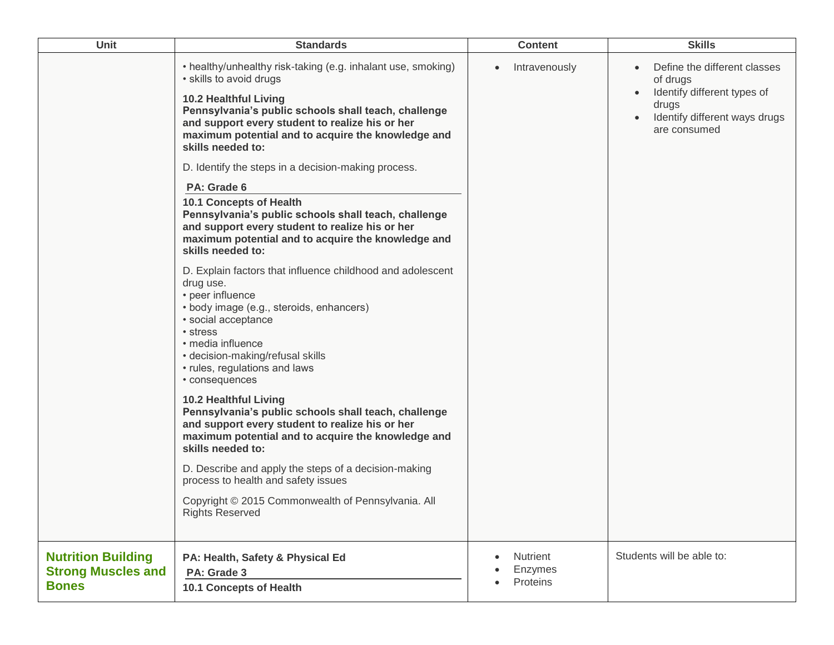| <b>Unit</b>                                                            | <b>Standards</b>                                                                                                                                                                                                                                                                                                                                                                                                                                                                                                          | <b>Content</b>                  | <b>Skills</b>                                                                                                                     |
|------------------------------------------------------------------------|---------------------------------------------------------------------------------------------------------------------------------------------------------------------------------------------------------------------------------------------------------------------------------------------------------------------------------------------------------------------------------------------------------------------------------------------------------------------------------------------------------------------------|---------------------------------|-----------------------------------------------------------------------------------------------------------------------------------|
|                                                                        | • healthy/unhealthy risk-taking (e.g. inhalant use, smoking)<br>• skills to avoid drugs<br>10.2 Healthful Living<br>Pennsylvania's public schools shall teach, challenge<br>and support every student to realize his or her<br>maximum potential and to acquire the knowledge and<br>skills needed to:<br>D. Identify the steps in a decision-making process.<br>PA: Grade 6<br><b>10.1 Concepts of Health</b><br>Pennsylvania's public schools shall teach, challenge<br>and support every student to realize his or her | Intravenously<br>$\bullet$      | Define the different classes<br>of drugs<br>Identify different types of<br>drugs<br>Identify different ways drugs<br>are consumed |
|                                                                        | maximum potential and to acquire the knowledge and<br>skills needed to:<br>D. Explain factors that influence childhood and adolescent<br>drug use.<br>• peer influence<br>• body image (e.g., steroids, enhancers)<br>• social acceptance<br>• stress<br>• media influence<br>• decision-making/refusal skills<br>• rules, regulations and laws<br>• consequences                                                                                                                                                         |                                 |                                                                                                                                   |
|                                                                        | <b>10.2 Healthful Living</b><br>Pennsylvania's public schools shall teach, challenge<br>and support every student to realize his or her<br>maximum potential and to acquire the knowledge and<br>skills needed to:                                                                                                                                                                                                                                                                                                        |                                 |                                                                                                                                   |
|                                                                        | D. Describe and apply the steps of a decision-making<br>process to health and safety issues                                                                                                                                                                                                                                                                                                                                                                                                                               |                                 |                                                                                                                                   |
|                                                                        | Copyright © 2015 Commonwealth of Pennsylvania. All<br><b>Rights Reserved</b>                                                                                                                                                                                                                                                                                                                                                                                                                                              |                                 |                                                                                                                                   |
| <b>Nutrition Building</b><br><b>Strong Muscles and</b><br><b>Bones</b> | PA: Health, Safety & Physical Ed<br>PA: Grade 3<br>10.1 Concepts of Health                                                                                                                                                                                                                                                                                                                                                                                                                                                | Nutrient<br>Enzymes<br>Proteins | Students will be able to:                                                                                                         |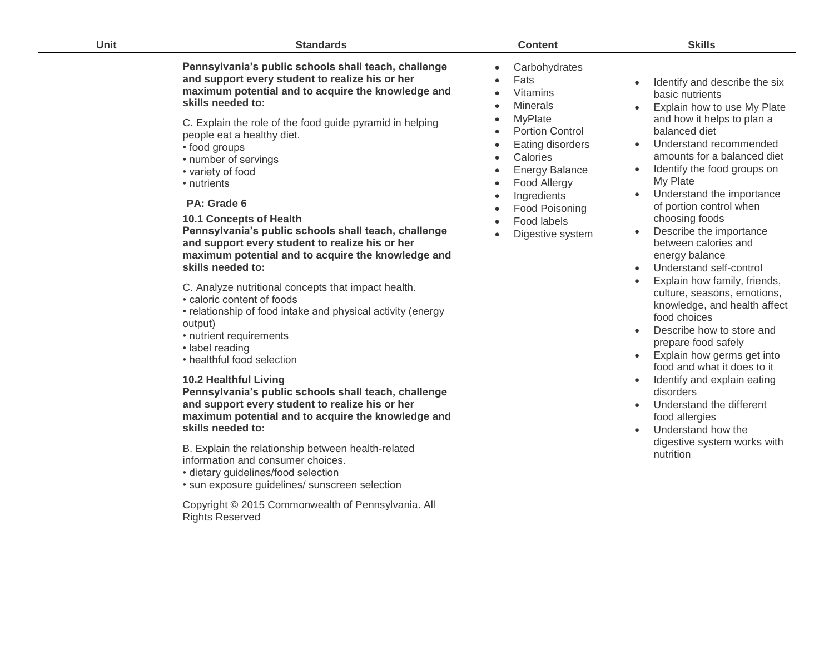| Unit | <b>Standards</b>                                                                                                                                                                                                                                                                                                                                                                                                                                                                                                                                                                                                                                                                                                                                                                                                                                                                                                                                                                                                                                                                                                                                                                                                                                                                                                               | <b>Content</b>                                                                                                                                                                                                                                                   | <b>Skills</b>                                                                                                                                                                                                                                                                                                                                                                                                                                                                                                                                                                                                                                                                                                                                                                                                                                                                                       |
|------|--------------------------------------------------------------------------------------------------------------------------------------------------------------------------------------------------------------------------------------------------------------------------------------------------------------------------------------------------------------------------------------------------------------------------------------------------------------------------------------------------------------------------------------------------------------------------------------------------------------------------------------------------------------------------------------------------------------------------------------------------------------------------------------------------------------------------------------------------------------------------------------------------------------------------------------------------------------------------------------------------------------------------------------------------------------------------------------------------------------------------------------------------------------------------------------------------------------------------------------------------------------------------------------------------------------------------------|------------------------------------------------------------------------------------------------------------------------------------------------------------------------------------------------------------------------------------------------------------------|-----------------------------------------------------------------------------------------------------------------------------------------------------------------------------------------------------------------------------------------------------------------------------------------------------------------------------------------------------------------------------------------------------------------------------------------------------------------------------------------------------------------------------------------------------------------------------------------------------------------------------------------------------------------------------------------------------------------------------------------------------------------------------------------------------------------------------------------------------------------------------------------------------|
|      | Pennsylvania's public schools shall teach, challenge<br>and support every student to realize his or her<br>maximum potential and to acquire the knowledge and<br>skills needed to:<br>C. Explain the role of the food guide pyramid in helping<br>people eat a healthy diet.<br>• food groups<br>• number of servings<br>• variety of food<br>• nutrients<br>PA: Grade 6<br>10.1 Concepts of Health<br>Pennsylvania's public schools shall teach, challenge<br>and support every student to realize his or her<br>maximum potential and to acquire the knowledge and<br>skills needed to:<br>C. Analyze nutritional concepts that impact health.<br>· caloric content of foods<br>• relationship of food intake and physical activity (energy<br>output)<br>• nutrient requirements<br>• label reading<br>• healthful food selection<br><b>10.2 Healthful Living</b><br>Pennsylvania's public schools shall teach, challenge<br>and support every student to realize his or her<br>maximum potential and to acquire the knowledge and<br>skills needed to:<br>B. Explain the relationship between health-related<br>information and consumer choices.<br>· dietary guidelines/food selection<br>· sun exposure guidelines/ sunscreen selection<br>Copyright © 2015 Commonwealth of Pennsylvania. All<br><b>Rights Reserved</b> | Carbohydrates<br>Fats<br><b>Vitamins</b><br><b>Minerals</b><br>$\bullet$<br>MyPlate<br>Portion Control<br>Eating disorders<br>Calories<br><b>Energy Balance</b><br>Food Allergy<br>$\bullet$<br>Ingredients<br>Food Poisoning<br>Food labels<br>Digestive system | Identify and describe the six<br>basic nutrients<br>Explain how to use My Plate<br>and how it helps to plan a<br>balanced diet<br>Understand recommended<br>$\bullet$<br>amounts for a balanced diet<br>Identify the food groups on<br>$\bullet$<br>My Plate<br>Understand the importance<br>of portion control when<br>choosing foods<br>Describe the importance<br>between calories and<br>energy balance<br>Understand self-control<br>Explain how family, friends,<br>$\bullet$<br>culture, seasons, emotions,<br>knowledge, and health affect<br>food choices<br>Describe how to store and<br>prepare food safely<br>Explain how germs get into<br>$\bullet$<br>food and what it does to it<br>Identify and explain eating<br>$\bullet$<br>disorders<br>Understand the different<br>$\bullet$<br>food allergies<br>Understand how the<br>$\bullet$<br>digestive system works with<br>nutrition |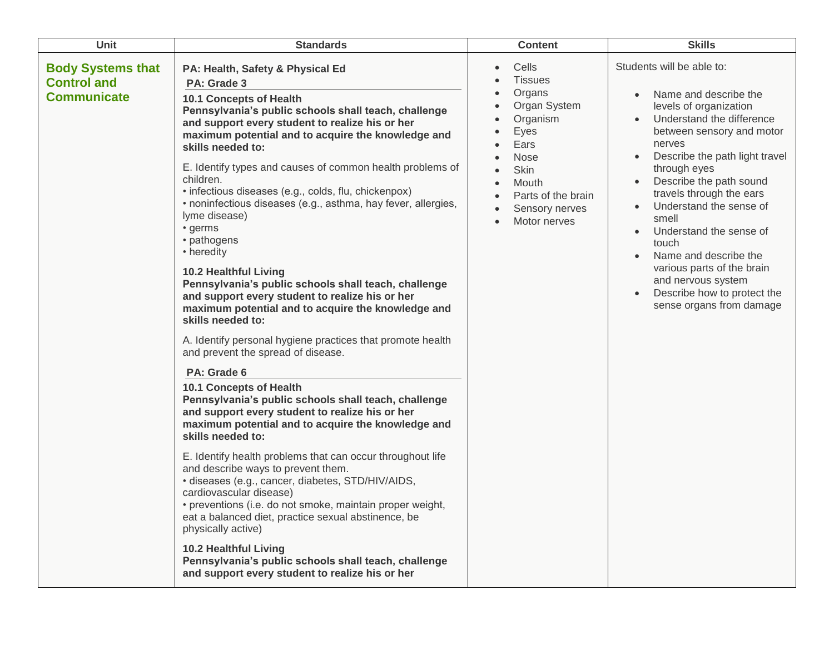| <b>Unit</b>                                                          | <b>Standards</b>                                                                                                                                                                                                                                                                                                                                                                                                                                                                                                                                                                                                                                                                                                                                                                                                                                                                                                                                                                                                                                                                                                                                                                                                                                                                                                                                                                                                                                                                                                                                                | <b>Content</b>                                                                                                                                                                                               | <b>Skills</b>                                                                                                                                                                                                                                                                                                                                                                                                                                                                          |
|----------------------------------------------------------------------|-----------------------------------------------------------------------------------------------------------------------------------------------------------------------------------------------------------------------------------------------------------------------------------------------------------------------------------------------------------------------------------------------------------------------------------------------------------------------------------------------------------------------------------------------------------------------------------------------------------------------------------------------------------------------------------------------------------------------------------------------------------------------------------------------------------------------------------------------------------------------------------------------------------------------------------------------------------------------------------------------------------------------------------------------------------------------------------------------------------------------------------------------------------------------------------------------------------------------------------------------------------------------------------------------------------------------------------------------------------------------------------------------------------------------------------------------------------------------------------------------------------------------------------------------------------------|--------------------------------------------------------------------------------------------------------------------------------------------------------------------------------------------------------------|----------------------------------------------------------------------------------------------------------------------------------------------------------------------------------------------------------------------------------------------------------------------------------------------------------------------------------------------------------------------------------------------------------------------------------------------------------------------------------------|
| <b>Body Systems that</b><br><b>Control and</b><br><b>Communicate</b> | PA: Health, Safety & Physical Ed<br>PA: Grade 3<br>10.1 Concepts of Health<br>Pennsylvania's public schools shall teach, challenge<br>and support every student to realize his or her<br>maximum potential and to acquire the knowledge and<br>skills needed to:<br>E. Identify types and causes of common health problems of<br>children.<br>• infectious diseases (e.g., colds, flu, chickenpox)<br>• noninfectious diseases (e.g., asthma, hay fever, allergies,<br>lyme disease)<br>• germs<br>• pathogens<br>• heredity<br><b>10.2 Healthful Living</b><br>Pennsylvania's public schools shall teach, challenge<br>and support every student to realize his or her<br>maximum potential and to acquire the knowledge and<br>skills needed to:<br>A. Identify personal hygiene practices that promote health<br>and prevent the spread of disease.<br>PA: Grade 6<br>10.1 Concepts of Health<br>Pennsylvania's public schools shall teach, challenge<br>and support every student to realize his or her<br>maximum potential and to acquire the knowledge and<br>skills needed to:<br>E. Identify health problems that can occur throughout life<br>and describe ways to prevent them.<br>· diseases (e.g., cancer, diabetes, STD/HIV/AIDS,<br>cardiovascular disease)<br>• preventions (i.e. do not smoke, maintain proper weight,<br>eat a balanced diet, practice sexual abstinence, be<br>physically active)<br><b>10.2 Healthful Living</b><br>Pennsylvania's public schools shall teach, challenge<br>and support every student to realize his or her | Cells<br>$\bullet$<br><b>Tissues</b><br>Organs<br>Organ System<br>Organism<br>Eyes<br>Ears<br><b>Nose</b><br>$\bullet$<br>Skin<br>$\bullet$<br>Mouth<br>Parts of the brain<br>Sensory nerves<br>Motor nerves | Students will be able to:<br>Name and describe the<br>levels of organization<br>Understand the difference<br>$\bullet$<br>between sensory and motor<br>nerves<br>Describe the path light travel<br>through eyes<br>Describe the path sound<br>travels through the ears<br>Understand the sense of<br>smell<br>Understand the sense of<br>touch<br>Name and describe the<br>various parts of the brain<br>and nervous system<br>Describe how to protect the<br>sense organs from damage |